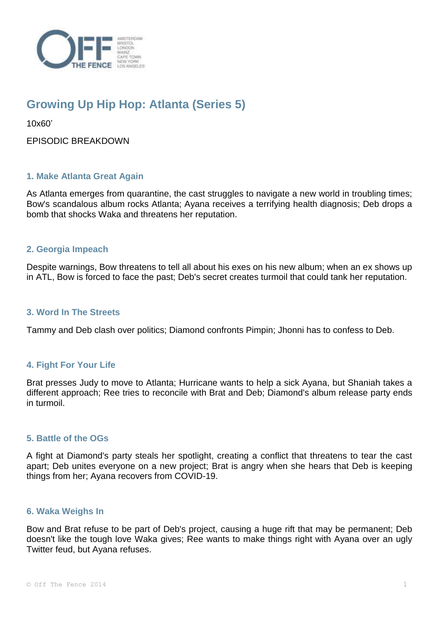

# **Growing Up Hip Hop: Atlanta (Series 5)**

10x60'

EPISODIC BREAKDOWN

# **1. Make Atlanta Great Again**

As Atlanta emerges from quarantine, the cast struggles to navigate a new world in troubling times; Bow's scandalous album rocks Atlanta; Ayana receives a terrifying health diagnosis; Deb drops a bomb that shocks Waka and threatens her reputation.

# **2. Georgia Impeach**

Despite warnings, Bow threatens to tell all about his exes on his new album; when an ex shows up in ATL, Bow is forced to face the past; Deb's secret creates turmoil that could tank her reputation.

#### **3. Word In The Streets**

Tammy and Deb clash over politics; Diamond confronts Pimpin; Jhonni has to confess to Deb.

## **4. Fight For Your Life**

Brat presses Judy to move to Atlanta; Hurricane wants to help a sick Ayana, but Shaniah takes a different approach; Ree tries to reconcile with Brat and Deb; Diamond's album release party ends in turmoil.

## **5. Battle of the OGs**

A fight at Diamond's party steals her spotlight, creating a conflict that threatens to tear the cast apart; Deb unites everyone on a new project; Brat is angry when she hears that Deb is keeping things from her; Ayana recovers from COVID-19.

#### **6. Waka Weighs In**

Bow and Brat refuse to be part of Deb's project, causing a huge rift that may be permanent; Deb doesn't like the tough love Waka gives; Ree wants to make things right with Ayana over an ugly Twitter feud, but Ayana refuses.